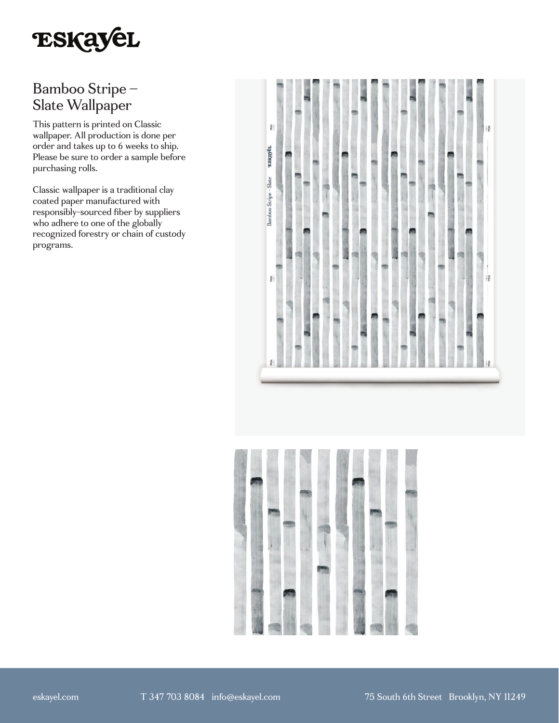

# Bamboo Stripe – Slate Wallpaper

This pattern is printed on Classic wallpaper. All production is done per order and takes up to 6 weeks to ship. Please be sure to order a sample before purchasing rolls.

Classic wallpaper is a traditional clay coated paper manufactured with responsibly-sourced fiber by suppliers who adhere to one of the globally recognized forestry or chain of custody programs.



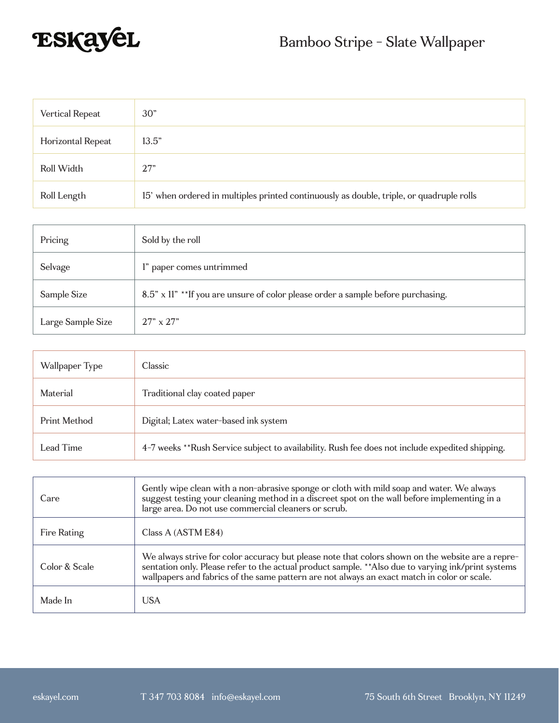

| Vertical Repeat   | 30"                                                                                      |
|-------------------|------------------------------------------------------------------------------------------|
| Horizontal Repeat | 13.5"                                                                                    |
| Roll Width        | 27"                                                                                      |
| Roll Length       | 15' when ordered in multiples printed continuously as double, triple, or quadruple rolls |

| Pricing           | Sold by the roll                                                                 |
|-------------------|----------------------------------------------------------------------------------|
| Selvage           | l" paper comes untrimmed                                                         |
| Sample Size       | 8.5" x 11" **If you are unsure of color please order a sample before purchasing. |
| Large Sample Size | $27" \times 27"$                                                                 |

| Wallpaper Type | Classic                                                                                         |
|----------------|-------------------------------------------------------------------------------------------------|
| Material       | Traditional clay coated paper                                                                   |
| Print Method   | Digital; Latex water-based ink system                                                           |
| Lead Time      | 4-7 weeks **Rush Service subject to availability. Rush fee does not include expedited shipping. |

| Care          | Gently wipe clean with a non-abrasive sponge or cloth with mild soap and water. We always<br>suggest testing your cleaning method in a discreet spot on the wall before implementing in a<br>large area. Do not use commercial cleaners or scrub.                                                       |
|---------------|---------------------------------------------------------------------------------------------------------------------------------------------------------------------------------------------------------------------------------------------------------------------------------------------------------|
| Fire Rating   | Class A (ASTM E84)                                                                                                                                                                                                                                                                                      |
| Color & Scale | We always strive for color accuracy but please note that colors shown on the website are a repre-<br>sentation only. Please refer to the actual product sample. ** Also due to varying ink/print systems<br>wallpapers and fabrics of the same pattern are not always an exact match in color or scale. |
| Made In       | <b>USA</b>                                                                                                                                                                                                                                                                                              |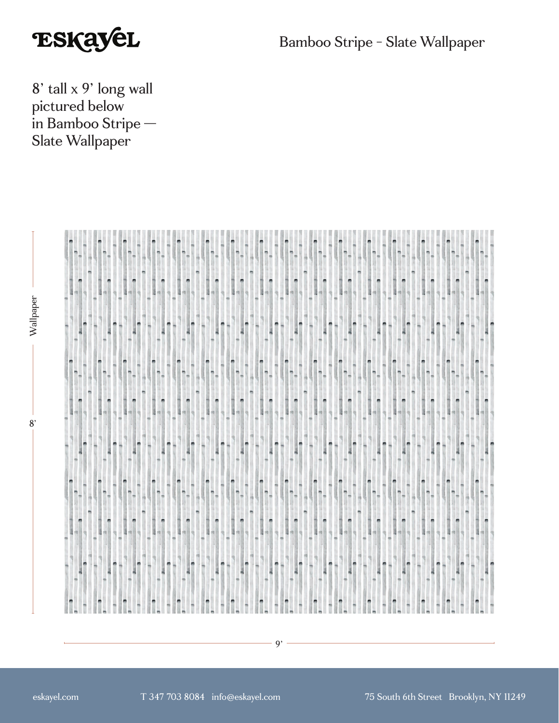

Bamboo Stripe - Slate Wallpaper

8' tall x 9' long wall pictured below in Bamboo Stripe — Slate Wallpaper



 $8'$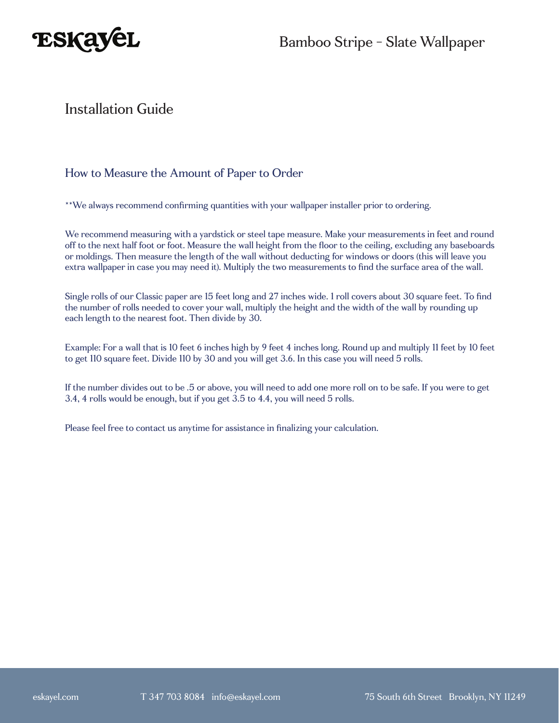

## Installation Guide

#### How to Measure the Amount of Paper to Order

\*\*We always recommend confirming quantities with your wallpaper installer prior to ordering.

We recommend measuring with a yardstick or steel tape measure. Make your measurements in feet and round off to the next half foot or foot. Measure the wall height from the floor to the ceiling, excluding any baseboards or moldings. Then measure the length of the wall without deducting for windows or doors (this will leave you extra wallpaper in case you may need it). Multiply the two measurements to find the surface area of the wall.

Single rolls of our Classic paper are 15 feet long and 27 inches wide. 1 roll covers about 30 square feet. To find the number of rolls needed to cover your wall, multiply the height and the width of the wall by rounding up each length to the nearest foot. Then divide by 30.

Example: For a wall that is 10 feet 6 inches high by 9 feet 4 inches long. Round up and multiply 11 feet by 10 feet to get 110 square feet. Divide 110 by 30 and you will get 3.6. In this case you will need 5 rolls.

If the number divides out to be .5 or above, you will need to add one more roll on to be safe. If you were to get 3.4, 4 rolls would be enough, but if you get 3.5 to 4.4, you will need 5 rolls.

Please feel free to contact us anytime for assistance in finalizing your calculation.